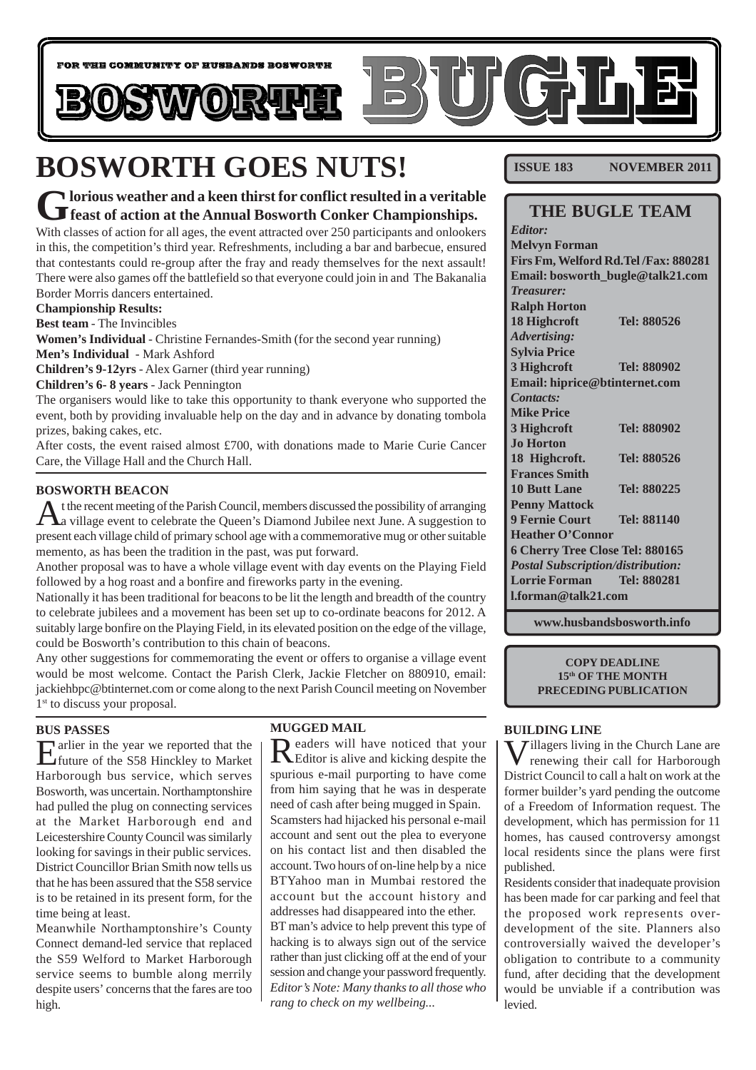

# **BOSWORTH GOES NUTS!**

### **Glorious weather and a keen thirst for conflict resulted in a veritable** *feast of action at the Annual Bosworth Conker Championships.*

With classes of action for all ages, the event attracted over 250 participants and onlookers in this, the competition's third year. Refreshments, including a bar and barbecue, ensured that contestants could re-group after the fray and ready themselves for the next assault! There were also games off the battlefield so that everyone could join in and The Bakanalia Border Morris dancers entertained.

#### **Championship Results:**

**Best team** - The Invincibles

**Women's Individual** - Christine Fernandes-Smith (for the second year running) **Men's Individual** - Mark Ashford

**Children's 9-12yrs** - Alex Garner (third year running)

**Children's 6- 8 years** - Jack Pennington

The organisers would like to take this opportunity to thank everyone who supported the event, both by providing invaluable help on the day and in advance by donating tombola prizes, baking cakes, etc.

After costs, the event raised almost  $£700$ , with donations made to Marie Curie Cancer Care, the Village Hall and the Church Hall.

#### **BOSWORTH BEACON**

At the recent meeting of the Parish Council, members discussed the possibility of arranging<br>A village event to celebrate the Queen's Diamond Jubilee next June. A suggestion to present each village child of primary school age with a commemorative mug or other suitable memento, as has been the tradition in the past, was put forward.

Another proposal was to have a whole village event with day events on the Playing Field followed by a hog roast and a bonfire and fireworks party in the evening.

Nationally it has been traditional for beacons to be lit the length and breadth of the country to celebrate jubilees and a movement has been set up to co-ordinate beacons for 2012. A suitably large bonfire on the Playing Field, in its elevated position on the edge of the village, could be Bosworth's contribution to this chain of beacons.

Any other suggestions for commemorating the event or offers to organise a village event would be most welcome. Contact the Parish Clerk, Jackie Fletcher on 880910, email: jackiehbpc@btinternet.com or come along to the next Parish Council meeting on November 1<sup>st</sup> to discuss your proposal.

#### **BUS PASSES**

Earlier in the year we reported that the future of the S58 Hinckley to Market Harborough bus service, which serves Bosworth, was uncertain. Northamptonshire had pulled the plug on connecting services at the Market Harborough end and Leicestershire County Council was similarly looking for savings in their public services. District Councillor Brian Smith now tells us that he has been assured that the S58 service is to be retained in its present form, for the time being at least.

Meanwhile Northamptonshire's County Connect demand-led service that replaced the S59 Welford to Market Harborough service seems to bumble along merrily despite users' concerns that the fares are too high.

#### **MUGGED MAIL**

Readers will have noticed that your Editor is alive and kicking despite the spurious e-mail purporting to have come from him saying that he was in desperate need of cash after being mugged in Spain. Scamsters had hijacked his personal e-mail account and sent out the plea to everyone on his contact list and then disabled the account. Two hours of on-line help by a nice BTYahoo man in Mumbai restored the account but the account history and addresses had disappeared into the ether. BT man's advice to help prevent this type of hacking is to always sign out of the service rather than just clicking off at the end of your session and change your password frequently. *Editor's Note: Many thanks to all those who rang to check on my wellbeing...*

**ISSUE 183 NOVEMBER 2011** 

### **THE BUGLE TEAM**

*Editor:* **Melvyn Forman Firs Fm, Welford Rd.Tel /Fax: 880281 Email: bosworth\_bugle@talk21.com** *Treasurer:* **Ralph Horton 18 Highcroft Tel: 880526** *Advertising:* **Sylvia Price 3 Highcroft Tel: 880902 Email: hiprice@btinternet.com** *Contacts:* **Mike Price 3 Highcroft Tel: 880902 Jo Horton 18 Highcroft. Tel: 880526 Frances Smith 10 Butt Lane Tel: 880225 Penny Mattock 9 Fernie Court Tel: 881140 Heather O'Connor 6 Cherry Tree Close Tel: 880165** *Postal Subscription/distribution:* **Lorrie Forman Tel: 880281 l.forman@talk21.com**

**www.husbandsbosworth.info**

**COPY DEADLINE 15th OF THE MONTH PRECEDING PUBLICATION**

#### **BUILDING LINE**

Willagers living in the Church Lane are<br>renewing their call for Harborough District Council to call a halt on work at the former builder's yard pending the outcome of a Freedom of Information request. The development, which has permission for 11 homes, has caused controversy amongst local residents since the plans were first published.

Residents consider that inadequate provision has been made for car parking and feel that the proposed work represents overdevelopment of the site. Planners also controversially waived the developer's obligation to contribute to a community fund, after deciding that the development would be unviable if a contribution was levied.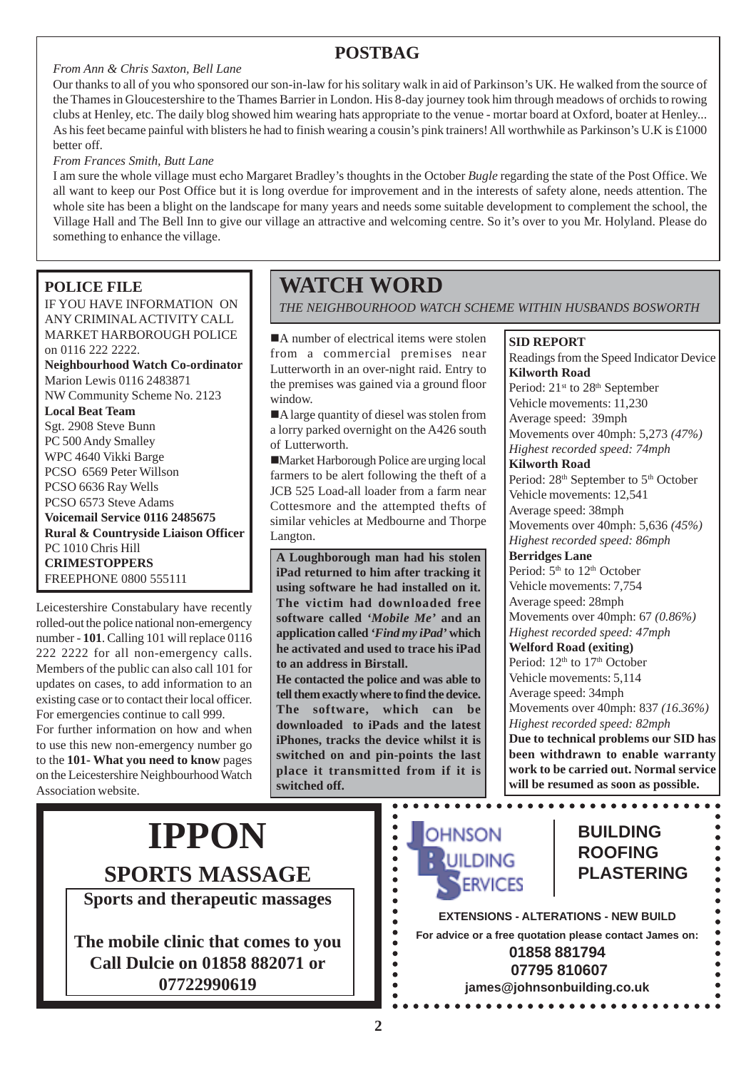# **POSTBAG**

#### *From Ann & Chris Saxton, Bell Lane*

Our thanks to all of you who sponsored our son-in-law for his solitary walk in aid of Parkinson's UK. He walked from the source of the Thames in Gloucestershire to the Thames Barrier in London. His 8-day journey took him through meadows of orchids to rowing clubs at Henley, etc. The daily blog showed him wearing hats appropriate to the venue - mortar board at Oxford, boater at Henley... As his feet became painful with blisters he had to finish wearing a cousin's pink trainers! All worthwhile as Parkinson's U.K is £1000 better off.

*From Frances Smith, Butt Lane*

I am sure the whole village must echo Margaret Bradley's thoughts in the October *Bugle* regarding the state of the Post Office. We all want to keep our Post Office but it is long overdue for improvement and in the interests of safety alone, needs attention. The whole site has been a blight on the landscape for many years and needs some suitable development to complement the school, the Village Hall and The Bell Inn to give our village an attractive and welcoming centre. So it's over to you Mr. Holyland. Please do something to enhance the village.

### **POLICE FILE**

IF YOU HAVE INFORMATION ON ANY CRIMINAL ACTIVITY CALL MARKET HARBOROUGH POLICE on 0116 222 2222. **Neighbourhood Watch Co-ordinator** Marion Lewis 0116 2483871

NW Community Scheme No. 2123 **Local Beat Team**

Sgt. 2908 Steve Bunn PC 500 Andy Smalley WPC 4640 Vikki Barge PCSO 6569 Peter Willson PCSO 6636 Ray Wells PCSO 6573 Steve Adams **Voicemail Service 0116 2485675 Rural & Countryside Liaison Officer** PC 1010 Chris Hill **CRIMESTOPPERS** FREEPHONE 0800 555111

Leicestershire Constabulary have recently rolled-out the police national non-emergency number - **101**. Calling 101 will replace 0116 222 2222 for all non-emergency calls. Members of the public can also call 101 for updates on cases, to add information to an existing case or to contact their local officer. For emergencies continue to call 999. For further information on how and when to use this new non-emergency number go to the **101- What you need to know** pages on the Leicestershire Neighbourhood Watch

Association website.

# **WATCH WORD**

*THE NEIGHBOURHOOD WATCH SCHEME WITHIN HUSBANDS BOSWORTH*

■A number of electrical items were stolen from a commercial premises near Lutterworth in an over-night raid. Entry to the premises was gained via a ground floor window.

A large quantity of diesel was stolen from a lorry parked overnight on the A426 south of Lutterworth.

!Market Harborough Police are urging local farmers to be alert following the theft of a JCB 525 Load-all loader from a farm near Cottesmore and the attempted thefts of similar vehicles at Medbourne and Thorpe Langton.

**A Loughborough man had his stolen iPad returned to him after tracking it using software he had installed on it. The victim had downloaded free software called** *'Mobile Me'* **and an application called** *'Find my iPad'* **which he activated and used to trace his iPad to an address in Birstall.**

**He contacted the police and was able to tell them exactly where to find the device. The software, which can be downloaded to iPads and the latest iPhones, tracks the device whilst it is switched on and pin-points the last place it transmitted from if it is switched off.**

#### **SID REPORT**

Readings from the Speed Indicator Device **Kilworth Road**

Period: 21<sup>st</sup> to 28<sup>th</sup> September Vehicle movements: 11,230 Average speed: 39mph Movements over 40mph: 5,273 *(47%) Highest recorded speed: 74mph* **Kilworth Road** Period: 28<sup>th</sup> September to 5<sup>th</sup> October Vehicle movements: 12,541 Average speed: 38mph Movements over 40mph: 5,636 *(45%) Highest recorded speed: 86mph* **Berridges Lane** Period:  $5<sup>th</sup>$  to  $12<sup>th</sup>$  October Vehicle movements: 7,754 Average speed: 28mph Movements over 40mph: 67 *(0.86%) Highest recorded speed: 47mph* **Welford Road (exiting)** Period:  $12<sup>th</sup>$  to  $17<sup>th</sup>$  October Vehicle movements: 5,114 Average speed: 34mph Movements over 40mph: 837 *(16.36%) Highest recorded speed: 82mph* **Due to technical problems our SID has been withdrawn to enable warranty work to be carried out. Normal service will be resumed as soon as possible.**

# **IPPON SPORTS MASSAGE**

**Sports and therapeutic massages**

**The mobile clinic that comes to you Call Dulcie on 01858 882071 or 07722990619**



### **BUILDING ROOFING PLASTERING**

. . . . . . . . . . . .

**EXTENSIONS - ALTERATIONS - NEW BUILD For advice or a free quotation please contact James on: 01858 881794 07795 810607 james@johnsonbuilding.co.uk**

 $\bullet$  $\bullet$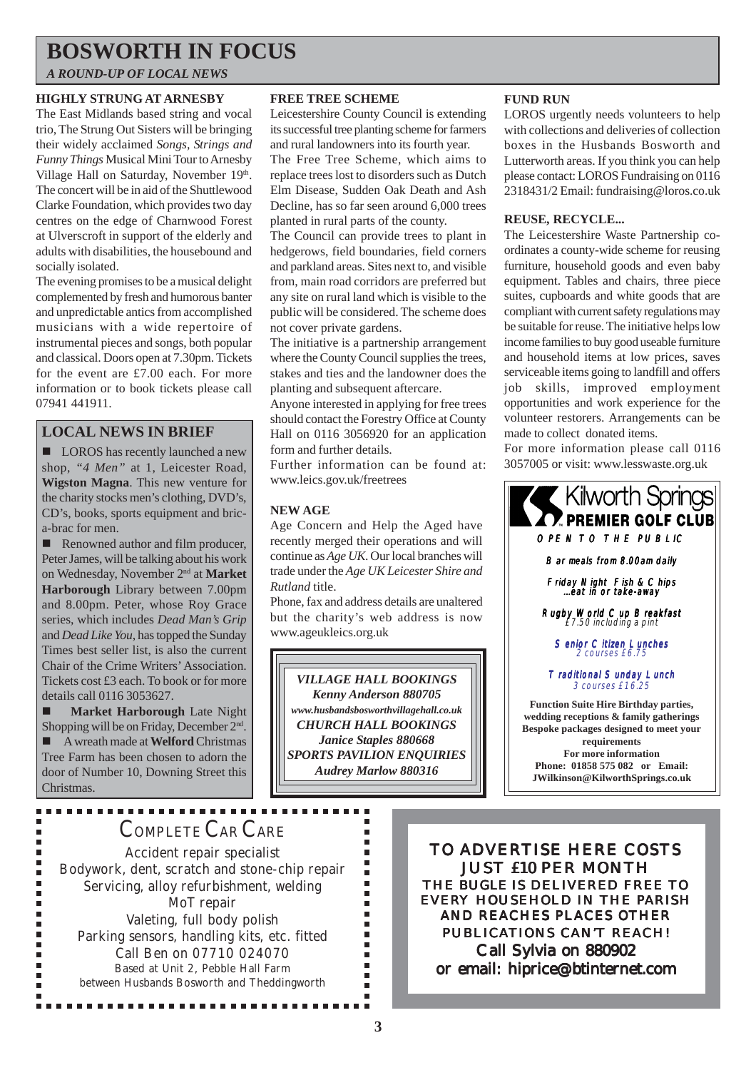# **BOSWORTH IN FOCUS**

*A ROUND-UP OF LOCAL NEWS*

#### **HIGHLY STRUNG AT ARNESBY**

The East Midlands based string and vocal trio, The Strung Out Sisters will be bringing their widely acclaimed *Songs, Strings and Funny Things* Musical Mini Tour to Arnesby Village Hall on Saturday, November 19th. The concert will be in aid of the Shuttlewood Clarke Foundation, which provides two day centres on the edge of Charnwood Forest at Ulverscroft in support of the elderly and adults with disabilities, the housebound and socially isolated.

The evening promises to be a musical delight complemented by fresh and humorous banter and unpredictable antics from accomplished musicians with a wide repertoire of instrumental pieces and songs, both popular and classical. Doors open at 7.30pm. Tickets for the event are £7.00 each. For more information or to book tickets please call 07941 441911.

### **LOCAL NEWS IN BRIEF**

■ LOROS has recently launched a new shop, *"4 Men"* at 1, Leicester Road, **Wigston Magna**. This new venture for the charity stocks men's clothing, DVD's, CD's, books, sports equipment and brica-brac for men.

■ Renowned author and film producer, Peter James, will be talking about his work on Wednesday, November 2nd at **Market Harborough** Library between 7.00pm and 8.00pm. Peter, whose Roy Grace series, which includes *Dead Man's Grip* and *Dead Like You*, has topped the Sunday Times best seller list, is also the current Chair of the Crime Writers' Association. Tickets cost £3 each. To book or for more details call 0116 3053627.

 $\blacksquare$  **Market Harborough** Late Night Shopping will be on Friday, December  $2<sup>nd</sup>$ . ! A wreath made at **Welford** Christmas Tree Farm has been chosen to adorn the door of Number 10, Downing Street this Christmas.

#### **FREE TREE SCHEME**

Leicestershire County Council is extending its successful tree planting scheme for farmers and rural landowners into its fourth year. The Free Tree Scheme, which aims to

replace trees lost to disorders such as Dutch Elm Disease, Sudden Oak Death and Ash Decline, has so far seen around 6,000 trees planted in rural parts of the county.

The Council can provide trees to plant in hedgerows, field boundaries, field corners and parkland areas. Sites next to, and visible from, main road corridors are preferred but any site on rural land which is visible to the public will be considered. The scheme does not cover private gardens.

The initiative is a partnership arrangement where the County Council supplies the trees, stakes and ties and the landowner does the planting and subsequent aftercare.

Anyone interested in applying for free trees should contact the Forestry Office at County Hall on 0116 3056920 for an application form and further details.

Further information can be found at: www.leics.gov.uk/freetrees

#### **NEW AGE**

Age Concern and Help the Aged have recently merged their operations and will continue as *Age UK*. Our local branches will trade under the *Age UK Leicester Shire and Rutland* title.

Phone, fax and address details are unaltered but the charity's web address is now www.ageukleics.org.uk

*VILLAGE HALL BOOKINGS Kenny Anderson 880705 www.husbandsbosworthvillagehall.co.uk CHURCH HALL BOOKINGS Janice Staples 880668 SPORTS PAVILION ENQUIRIES Audrey Marlow 880316*

> $\blacksquare$ ×

> > $\blacksquare$  $\blacksquare$  $\blacksquare$  $\blacksquare$  $\blacksquare$  $\blacksquare$ × ×  $\blacksquare$  $\blacksquare$  $\blacksquare$  $\blacksquare$ п

#### **FUND RUN**

LOROS urgently needs volunteers to help with collections and deliveries of collection boxes in the Husbands Bosworth and Lutterworth areas. If you think you can help please contact: LOROS Fundraising on 0116 2318431/2 Email: fundraising@loros.co.uk

#### **REUSE, RECYCLE...**

The Leicestershire Waste Partnership coordinates a county-wide scheme for reusing furniture, household goods and even baby equipment. Tables and chairs, three piece suites, cupboards and white goods that are compliant with current safety regulations may be suitable for reuse. The initiative helps low income families to buy good useable furniture and household items at low prices, saves serviceable items going to landfill and offers job skills, improved employment opportunities and work experience for the volunteer restorers. Arrangements can be made to collect donated items.

For more information please call 0116 3057005 or visit: www.lesswaste.org.uk



Traditional Sunday Lunch 3 courses £16.25

**Function Suite Hire Birthday parties, wedding receptions & family gatherings Bespoke packages designed to meet your requirements For more information Phone: 01858 575 082 or Email: JWilkinson@KilworthSprings.co.uk**

# COMPLETE CAR CARE

Accident repair specialist Bodywork, dent, scratch and stone-chip repair Servicing, alloy refurbishment, welding MoT repair Valeting, full body polish Parking sensors, handling kits, etc. fitted Call Ben on 07710 024070 Based at Unit 2, Pebble Hall Farm between Husbands Bosworth and Theddingworth

...............

TO ADVERTISE HERE COSTS JUST £10 PER MONTH THE *BUGLE* IS DELIVERED FREE TO EVERY HOUSEHOLD IN THE PARISH AND REACHES PLACES OTHER PUBLICATIONS CAN'T REACH! Call Sylvia on 880902 or email: hiprice@btinternet.com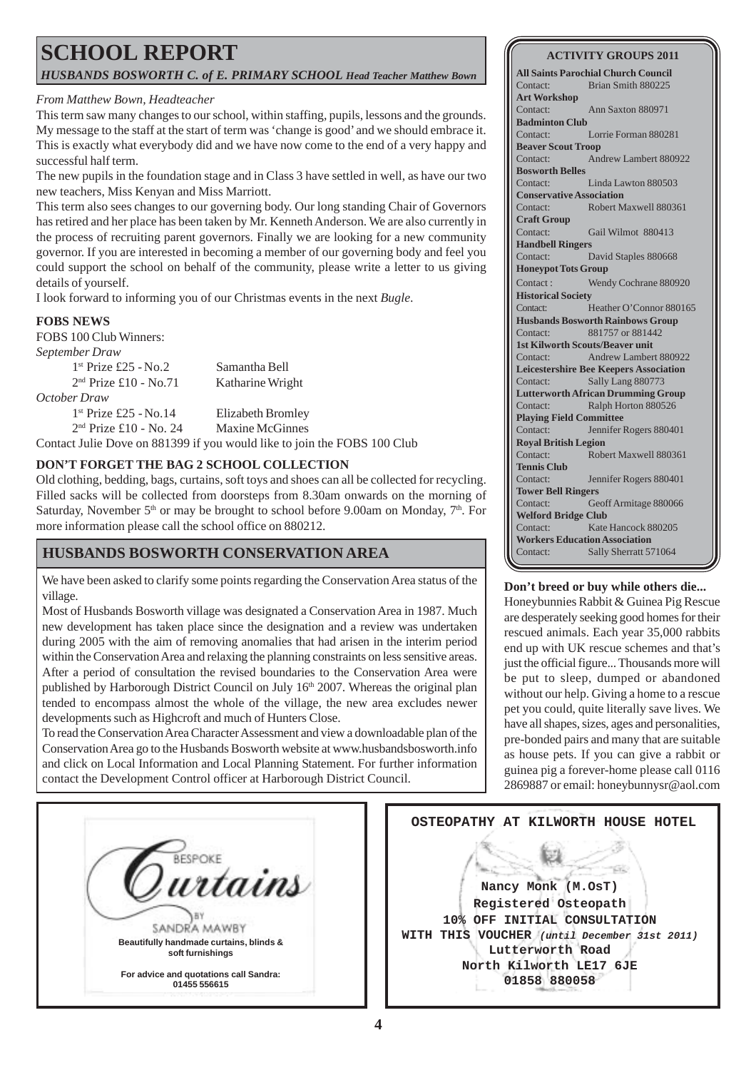# **SCHOOL REPORT** *HUSBANDS BOSWORTH C. of E. PRIMARY SCHOOL Head Teacher Matthew Bown*

#### *From Matthew Bown, Headteacher*

This term saw many changes to our school, within staffing, pupils, lessons and the grounds. My message to the staff at the start of term was 'change is good' and we should embrace it. This is exactly what everybody did and we have now come to the end of a very happy and successful half term.

The new pupils in the foundation stage and in Class 3 have settled in well, as have our two new teachers, Miss Kenyan and Miss Marriott.

This term also sees changes to our governing body. Our long standing Chair of Governors has retired and her place has been taken by Mr. Kenneth Anderson. We are also currently in the process of recruiting parent governors. Finally we are looking for a new community governor. If you are interested in becoming a member of our governing body and feel you could support the school on behalf of the community, please write a letter to us giving details of yourself.

I look forward to informing you of our Christmas events in the next *Bugle*.

#### **FOBS NEWS**

FOBS 100 Club Winners:

*September Draw* 1st Prize £25 - No.2 Samantha Bell 2<sup>nd</sup> Prize £10 - No.71 Katharine Wright *October Draw* 1<sup>st</sup> Prize £25 - No.14 Elizabeth Bromley 2nd Prize £10 - No. 24 Maxine McGinnes

Contact Julie Dove on 881399 if you would like to join the FOBS 100 Club

#### **DON'T FORGET THE BAG 2 SCHOOL COLLECTION**

Old clothing, bedding, bags, curtains, soft toys and shoes can all be collected for recycling. Filled sacks will be collected from doorsteps from 8.30am onwards on the morning of Saturday, November  $5<sup>th</sup>$  or may be brought to school before 9.00am on Monday,  $7<sup>th</sup>$ . For more information please call the school office on 880212.

### **HUSBANDS BOSWORTH CONSERVATION AREA**

We have been asked to clarify some points regarding the Conservation Area status of the village.

Most of Husbands Bosworth village was designated a Conservation Area in 1987. Much new development has taken place since the designation and a review was undertaken during 2005 with the aim of removing anomalies that had arisen in the interim period within the Conservation Area and relaxing the planning constraints on less sensitive areas. After a period of consultation the revised boundaries to the Conservation Area were published by Harborough District Council on July 16<sup>th</sup> 2007. Whereas the original plan tended to encompass almost the whole of the village, the new area excludes newer developments such as Highcroft and much of Hunters Close.

To read the Conservation Area Character Assessment and view a downloadable plan of the Conservation Area go to the Husbands Bosworth website at www.husbandsbosworth.info and click on Local Information and Local Planning Statement. For further information contact the Development Control officer at Harborough District Council.

#### **ACTIVITY GROUPS 2011**

**All Saints Parochial Church Council** Contact: Brian Smith 880225 **Art Workshop** Contact: Ann Saxton 880971 **Badminton Club** Contact: Lorrie Forman 880281 **Beaver Scout Troop** Contact: Andrew Lambert 880922 **Bosworth Belles** Contact: Linda Lawton 880503 **Conservative Association** Contact: Robert Maxwell 880361 **Craft Group** Contact: Gail Wilmot 880413 **Handbell Ringers** Contact: David Staples 880668 **Honeypot Tots Group** Contact : Wendy Cochrane 880920 **Historical Society** Contact: Heather O'Connor 880165 **Husbands Bosworth Rainbows Group** Contact: 881757 or 881442 **1st Kilworth Scouts/Beaver unit** Contact: Andrew Lambert 880922 **Leicestershire Bee Keepers Association** Contact: Sally Lang 880773 **Lutterworth African Drumming Group** Contact: Ralph Horton 880526 **Playing Field Committee** Contact: Jennifer Rogers 880401 **Royal British Legion** Contact: Robert Maxwell 880361 **Tennis Club** Contact: Jennifer Rogers 880401 **Tower Bell Ringers** Contact: Geoff Armitage 880066 **Welford Bridge Club** Contact: Kate Hancock 880205 **Workers Education Association** Contact: Sally Sherratt 571064

#### **Don't breed or buy while others die...**

Honeybunnies Rabbit & Guinea Pig Rescue are desperately seeking good homes for their rescued animals. Each year 35,000 rabbits end up with UK rescue schemes and that's just the official figure... Thousands more will be put to sleep, dumped or abandoned without our help. Giving a home to a rescue pet you could, quite literally save lives. We have all shapes, sizes, ages and personalities, pre-bonded pairs and many that are suitable as house pets. If you can give a rabbit or guinea pig a forever-home please call 0116 2869887 or email: honeybunnysr@aol.com

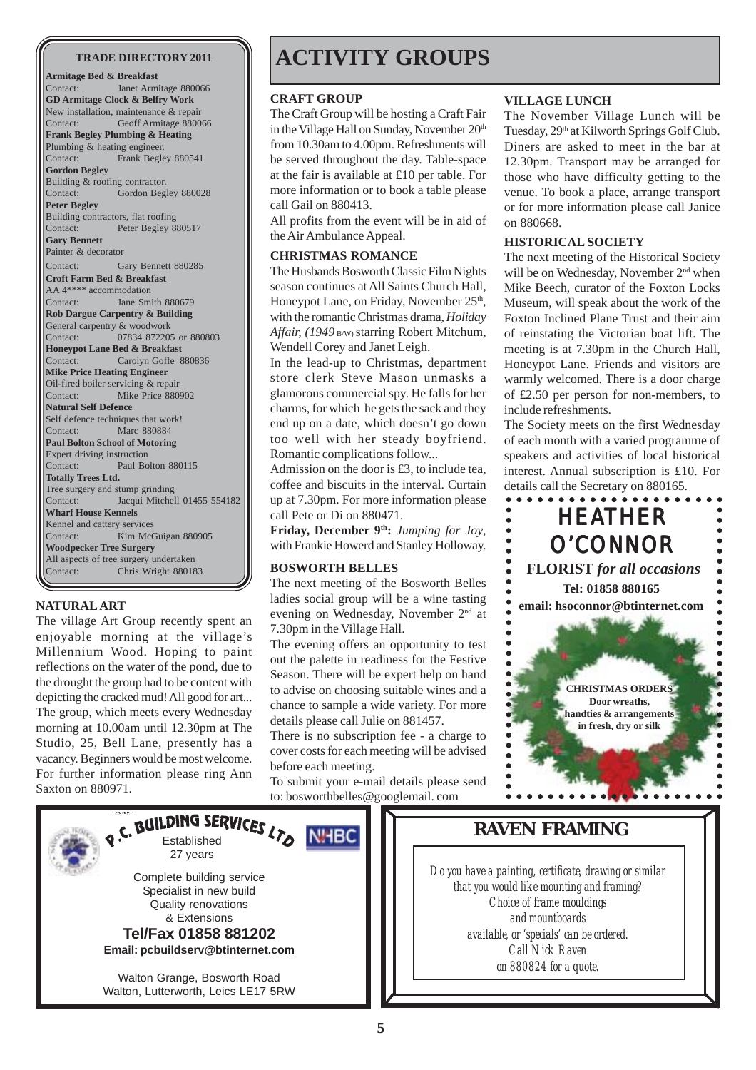**Armitage Bed & Breakfast** Contact: Janet Armitage 880066 **GD Armitage Clock & Belfry Work** New installation, maintenance & repair Contact: Geoff Armitage 880066 **Frank Begley Plumbing & Heating** Plumbing & heating engineer. Contact: Frank Begley 880541 **Gordon Begley** Building & roofing contractor.<br>Contact: Gordon Beg Gordon Begley 880028 **Peter Begley** Building contractors, flat roofing<br>Contact: Peter Beglev 8 Peter Begley 880517 **Gary Bennett** Painter & decorator Contact: Gary Bennett 880285 **Croft Farm Bed & Breakfast** AA 4\*\*\*\* accommodation Contact: Jane Smith 880679 **Rob Dargue Carpentry & Building** General carpentry & woodwork Contact: 07834 872205 or 880803 **Honeypot Lane Bed & Breakfast** Contact: Carolyn Goffe 880836 **Mike Price Heating Engineer** Oil-fired boiler servicing & repair Contact: Mike Price 880902 **Natural Self Defence** Self defence techniques that work! Contact: Marc 880884 **Paul Bolton School of Motoring** Expert driving instruction Contact: Paul Bolton 880115 **Totally Trees Ltd.** Tree surgery and stump grinding Contact: Jacqui Mitchell 01455 554182 **Wharf House Kennels** Kennel and cattery services Contact: Kim McGuigan 880905 **Woodpecker Tree Surgery** All aspects of tree surgery undertaken Contact: Chris Wright 880183

#### **NATURAL ART**

The village Art Group recently spent an enjoyable morning at the village's Millennium Wood. Hoping to paint reflections on the water of the pond, due to the drought the group had to be content with depicting the cracked mud! All good for art... The group, which meets every Wednesday morning at 10.00am until 12.30pm at The Studio, 25, Bell Lane, presently has a vacancy. Beginners would be most welcome. For further information please ring Ann Saxton on 880971.

# TRADE DIRECTORY 2011 **ACTIVITY GROUPS**

#### **CRAFT GROUP**

The Craft Group will be hosting a Craft Fair in the Village Hall on Sunday, November 20<sup>th</sup> from 10.30am to 4.00pm. Refreshments will be served throughout the day. Table-space at the fair is available at £10 per table. For more information or to book a table please call Gail on 880413.

All profits from the event will be in aid of the Air Ambulance Appeal. **HISTORICAL SOCIETY**

#### **CHRISTMAS ROMANCE**

The Husbands Bosworth Classic Film Nights season continues at All Saints Church Hall, Honeypot Lane, on Friday, November 25<sup>th</sup>, with the romantic Christmas drama, *Holiday Affair, (1949* B/W) starring Robert Mitchum, Wendell Corey and Janet Leigh.

In the lead-up to Christmas, department store clerk Steve Mason unmasks a glamorous commercial spy. He falls for her charms, for which he gets the sack and they end up on a date, which doesn't go down too well with her steady boyfriend. Romantic complications follow...

Admission on the door is £3, to include tea, coffee and biscuits in the interval. Curtain up at 7.30pm. For more information please call Pete or Di on 880471.

Friday, December 9<sup>th</sup>: *Jumping for Joy*, with Frankie Howerd and Stanley Holloway.

#### **BOSWORTH BELLES**

The next meeting of the Bosworth Belles ladies social group will be a wine tasting evening on Wednesday, November 2nd at 7.30pm in the Village Hall.

The evening offers an opportunity to test out the palette in readiness for the Festive Season. There will be expert help on hand to advise on choosing suitable wines and a chance to sample a wide variety. For more details please call Julie on 881457.

There is no subscription fee - a charge to cover costs for each meeting will be advised before each meeting.

To submit your e-mail details please send to: bosworthbelles@googlemail. com

#### **VILLAGE LUNCH**

The November Village Lunch will be Tuesday, 29<sup>th</sup> at Kilworth Springs Golf Club. Diners are asked to meet in the bar at 12.30pm. Transport may be arranged for those who have difficulty getting to the venue. To book a place, arrange transport or for more information please call Janice on 880668.

The next meeting of the Historical Society will be on Wednesday, November 2<sup>nd</sup> when Mike Beech, curator of the Foxton Locks Museum, will speak about the work of the Foxton Inclined Plane Trust and their aim of reinstating the Victorian boat lift. The meeting is at 7.30pm in the Church Hall, Honeypot Lane. Friends and visitors are warmly welcomed. There is a door charge of £2.50 per person for non-members, to include refreshments.

The Society meets on the first Wednesday of each month with a varied programme of speakers and activities of local historical interest. Annual subscription is £10. For details call the Secretary on 880165.





## **RAVEN FRAMING**

*Do you have a painting, certificate, drawing or similar that you would like mounting and framing? Choice of frame mouldings and mountboards available, or 'specials' can be ordered. Call Nick Raven on 880824 for a quote.*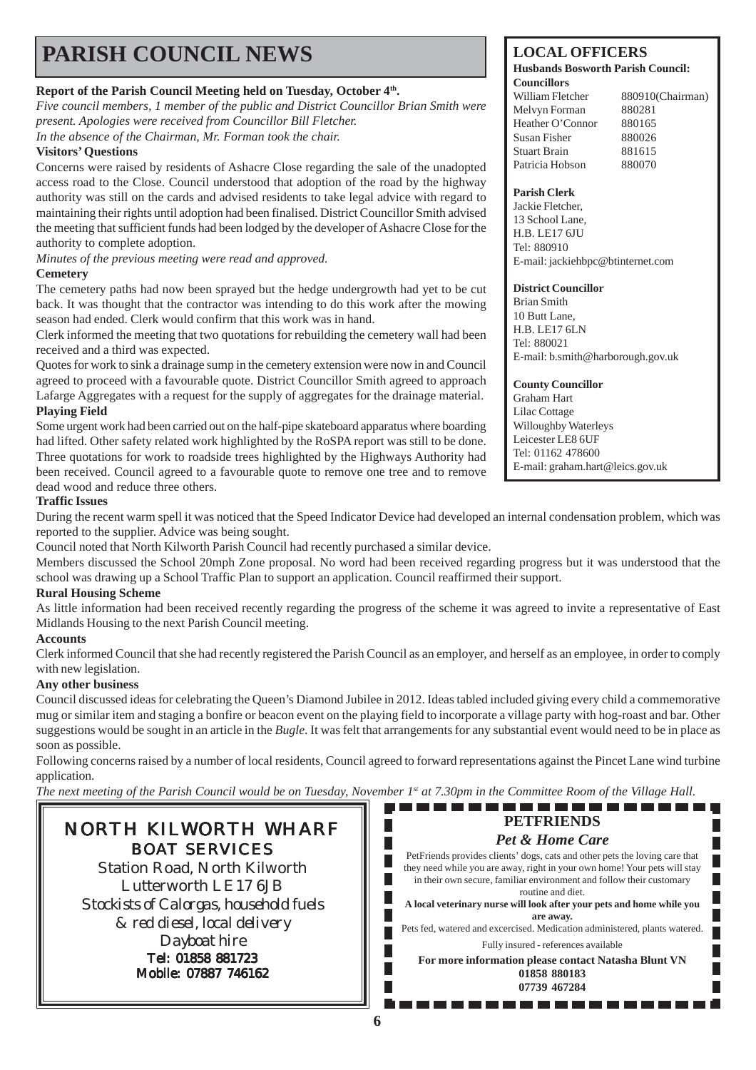# **PARISH COUNCIL NEWS** LOCAL OFFICERS

### **Report of the Parish Council Meeting held on Tuesday, October 4th.**

*Five council members, 1 member of the public and District Councillor Brian Smith were present. Apologies were received from Councillor Bill Fletcher. In the absence of the Chairman, Mr. Forman took the chair.*

#### **Visitors' Questions**

Concerns were raised by residents of Ashacre Close regarding the sale of the unadopted access road to the Close. Council understood that adoption of the road by the highway authority was still on the cards and advised residents to take legal advice with regard to maintaining their rights until adoption had been finalised. District Councillor Smith advised the meeting that sufficient funds had been lodged by the developer of Ashacre Close for the authority to complete adoption.

*Minutes of the previous meeting were read and approved.*

#### **Cemetery**

The cemetery paths had now been sprayed but the hedge undergrowth had yet to be cut back. It was thought that the contractor was intending to do this work after the mowing season had ended. Clerk would confirm that this work was in hand.

Clerk informed the meeting that two quotations for rebuilding the cemetery wall had been received and a third was expected.

Quotes for work to sink a drainage sump in the cemetery extension were now in and Council agreed to proceed with a favourable quote. District Councillor Smith agreed to approach Lafarge Aggregates with a request for the supply of aggregates for the drainage material. **Playing Field**

Some urgent work had been carried out on the half-pipe skateboard apparatus where boarding had lifted. Other safety related work highlighted by the RoSPA report was still to be done. Three quotations for work to roadside trees highlighted by the Highways Authority had been received. Council agreed to a favourable quote to remove one tree and to remove dead wood and reduce three others.

#### **Traffic Issues**

During the recent warm spell it was noticed that the Speed Indicator Device had developed an internal condensation problem, which was reported to the supplier. Advice was being sought.

Council noted that North Kilworth Parish Council had recently purchased a similar device.

Members discussed the School 20mph Zone proposal. No word had been received regarding progress but it was understood that the school was drawing up a School Traffic Plan to support an application. Council reaffirmed their support.

#### **Rural Housing Scheme**

As little information had been received recently regarding the progress of the scheme it was agreed to invite a representative of East Midlands Housing to the next Parish Council meeting.

#### **Accounts**

Clerk informed Council that she had recently registered the Parish Council as an employer, and herself as an employee, in order to comply with new legislation.

#### **Any other business**

Council discussed ideas for celebrating the Queen's Diamond Jubilee in 2012. Ideas tabled included giving every child a commemorative mug or similar item and staging a bonfire or beacon event on the playing field to incorporate a village party with hog-roast and bar. Other suggestions would be sought in an article in the *Bugle*. It was felt that arrangements for any substantial event would need to be in place as soon as possible.

Following concerns raised by a number of local residents, Council agreed to forward representations against the Pincet Lane wind turbine application.

*The next meeting of the Parish Council would be on Tuesday, November 1st at 7.30pm in the Committee Room of the Village Hall.*

# NORTH KILWORTH WHARF BOAT SERVICES

Station Road, North Kilworth Lutterworth LE17 6JB *Stockists of Calorgas, household fuels & red diesel, local delivery Dayboat hire* Tel: 01858 881723 Mobile: 07887 746162

#### **Husbands Bosworth Parish Council: Councillors**

William Fletcher 880910(Chairman) Melvyn Forman 880281 Heather O'Connor 880165 Susan Fisher 880026 Stuart Brain 881615 Patricia Hobson 880070

#### **Parish Clerk**

Jackie Fletcher, 13 School Lane, H.B. LE17 6JU Tel: 880910 E-mail: jackiehbpc@btinternet.com

#### **District Councillor**

Brian Smith 10 Butt Lane, H.B. LE17 6LN Tel: 880021 E-mail: b.smith@harborough.gov.uk

#### **County Councillor**

Graham Hart Lilac Cottage Willoughby Waterleys Leicester LE8 6UF Tel: 01162 478600 E-mail: graham.hart@leics.gov.uk

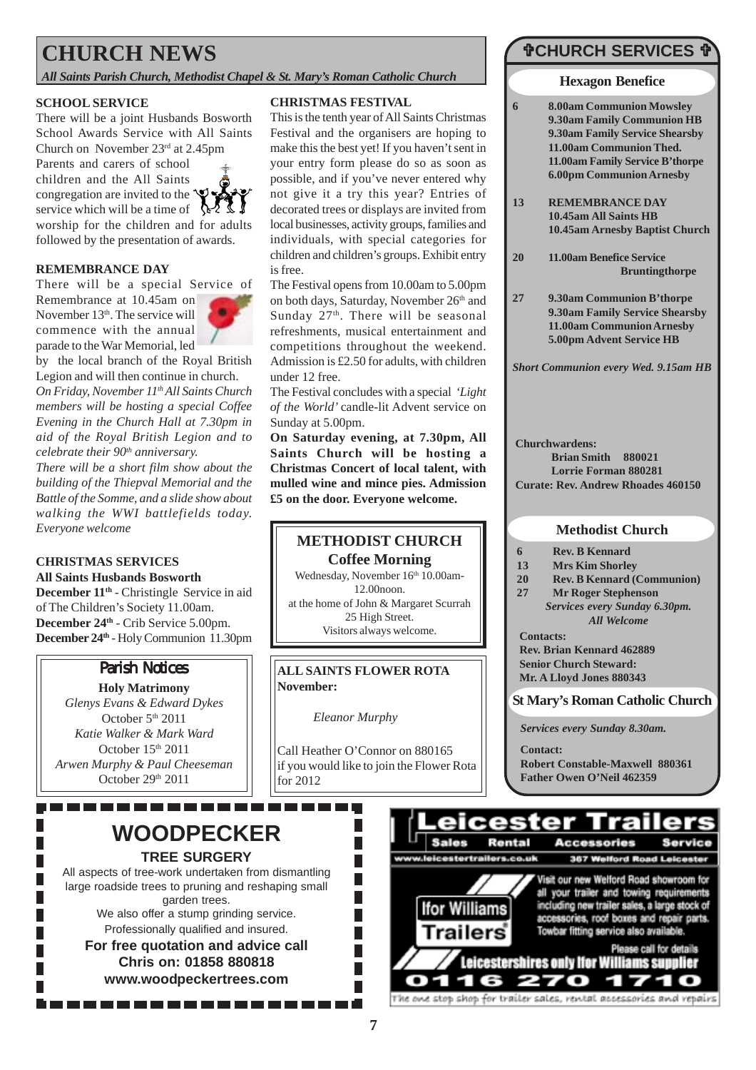# **CHURCH NEWS**

*All Saints Parish Church, Methodist Chapel & St. Mary's Roman Catholic Church*

#### **SCHOOL SERVICE**

There will be a joint Husbands Bosworth School Awards Service with All Saints Church on November  $23<sup>rd</sup>$  at 2.45pm

Parents and carers of school children and the All Saints congregation are invited to the  $\mathbf{\dot{P}}$ service which will be a time of  $\Diamond$ 



worship for the children and for adults followed by the presentation of awards.

#### **REMEMBRANCE DAY**

There will be a special Service of

Remembrance at 10.45am on November 13<sup>th</sup>. The service will commence with the annual parade to the War Memorial, led



by the local branch of the Royal British Legion and will then continue in church. *On Friday, November 11th All Saints Church members will be hosting a special Coffee Evening in the Church Hall at 7.30pm in aid of the Royal British Legion and to celebrate their 90<sup>th</sup> anniversary.* 

*There will be a short film show about the building of the Thiepval Memorial and the Battle of the Somme, and a slide show about walking the WWI battlefields today. Everyone welcome*

### **CHRISTMAS SERVICES**

**All Saints Husbands Bosworth** December 11<sup>th</sup> - Christingle Service in aid of The Children's Society 11.00am. **December 24th** - Crib Service 5.00pm. **December 24th** - Holy Communion 11.30pm

## **Parish Notices**

**Holy Matrimony** *Glenys Evans & Edward Dykes* October 5<sup>th</sup> 2011 *Katie Walker & Mark Ward* October  $15<sup>th</sup> 2011$ *Arwen Murphy & Paul Cheeseman* October 29th 2011

## **WOODPECKER TREE SURGERY**

All aspects of tree-work undertaken from dismantling large roadside trees to pruning and reshaping small garden trees. We also offer a stump grinding service.

Professionally qualified and insured. **For free quotation and advice call Chris on: 01858 880818 www.woodpeckertrees.com**

#### **CHRISTMAS FESTIVAL**

This is the tenth year of All Saints Christmas Festival and the organisers are hoping to make this the best yet! If you haven't sent in your entry form please do so as soon as possible, and if you've never entered why not give it a try this year? Entries of decorated trees or displays are invited from local businesses, activity groups, families and individuals, with special categories for children and children's groups. Exhibit entry is free.

The Festival opens from 10.00am to 5.00pm on both days, Saturday, November 26<sup>th</sup> and Sunday  $27<sup>th</sup>$ . There will be seasonal refreshments, musical entertainment and competitions throughout the weekend. Admission is £2.50 for adults, with children under 12 free.

The Festival concludes with a special *'Light of the World'* candle-lit Advent service on Sunday at 5.00pm.

**On Saturday evening, at 7.30pm, All Saints Church will be hosting a Christmas Concert of local talent, with mulled wine and mince pies. Admission £5 on the door. Everyone welcome.**

### **METHODIST CHURCH Coffee Morning**

Wednesday, November 16th 10.00am-12.00noon. at the home of John & Margaret Scurrah 25 High Street. Visitors always welcome.

**ALL SAINTS FLOWER ROTA November:**

*Eleanor Murphy*

П

П  $\overline{\phantom{a}}$ 

 $\overline{\phantom{a}}$ 

П

 $\overline{\phantom{a}}$ 

Call Heather O'Connor on 880165 if you would like to join the Flower Rota for 2012

# #**CHURCH SERVICES** #

**Hexagon Benefice**

- **6 8.00am Communion Mowsley 9.30am Family Communion HB 9.30am Family Service Shearsby 11.00am Communion Thed. 11.00am Family Service B'thorpe 6.00pm Communion Arnesby**
- **13 REMEMBRANCE DAY 10.45am All Saints HB 10.45am Arnesby Baptist Church**
- **20 11.00am Benefice Service Bruntingthorpe**
- **27 9.30am Communion B'thorpe 9.30am Family Service Shearsby 11.00am Communion Arnesby 5.00pm Advent Service HB**

*Short Communion every Wed. 9.15am HB*

**Churchwardens: Brian Smith 880021 Lorrie Forman 880281 Curate: Rev. Andrew Rhoades 460150**

#### **Methodist Church**

- **6 Rev. B Kennard**
- **13 Mrs Kim Shorley**
- **20 Rev. B Kennard (Communion)**
- **27 Mr Roger Stephenson**
- **Contacts:** *Services every Sunday 6.30pm. All Welcome*

**Rev. Brian Kennard 462889 Senior Church Steward: Mr. A Lloyd Jones 880343**

**St Mary's Roman Catholic Church**

*Services every Sunday 8.30am.*

**Contact: Robert Constable-Maxwell 880361 Father Owen O'Neil 462359**